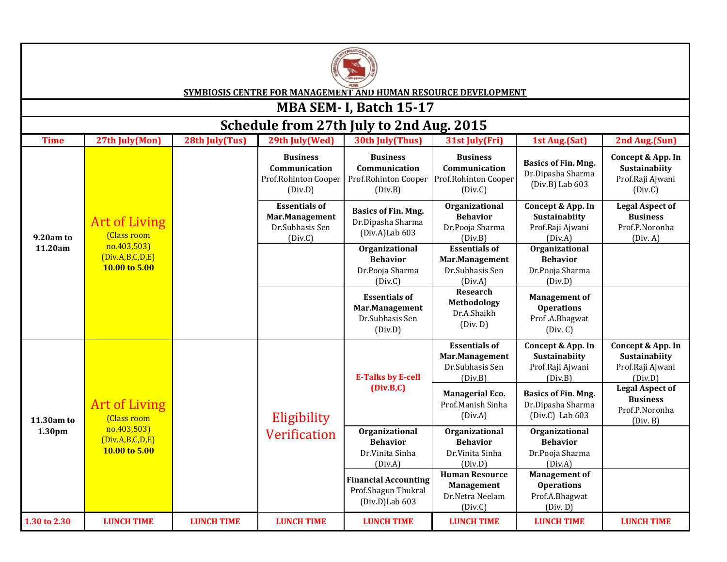

**SYMBIOSIS CENTRE FOR MANAGEMENT AND HUMAN RESOURCE DEVELOPMENT**

## **MBA SEM- I, Batch 15-17**

| Schedule from 27th July to 2nd Aug. 2015 |                                                                                        |                   |                                                                      |                                                                         |                                                                          |                                                                         |                                                                         |  |
|------------------------------------------|----------------------------------------------------------------------------------------|-------------------|----------------------------------------------------------------------|-------------------------------------------------------------------------|--------------------------------------------------------------------------|-------------------------------------------------------------------------|-------------------------------------------------------------------------|--|
| <b>Time</b>                              | 27th July(Mon)                                                                         | 28th July(Tus)    | 29th July(Wed)                                                       | 30th July(Thus)                                                         | 31st July(Fri)                                                           | 1st Aug.(Sat)                                                           | 2nd Aug.(Sun)                                                           |  |
| 9.20am to<br>11.20am                     | <b>Art of Living</b><br>(Class room<br>no.403,503)<br>(Div.A,B,C,D,E)<br>10.00 to 5.00 |                   | <b>Business</b><br>Communication<br>Prof.Rohinton Cooper<br>(Div.D)  | <b>Business</b><br>Communication<br>Prof.Rohinton Cooper<br>(Div.B)     | <b>Business</b><br>Communication<br>Prof.Rohinton Cooper<br>(Div.C)      | <b>Basics of Fin. Mng.</b><br>Dr.Dipasha Sharma<br>$(Div.B)$ Lab $603$  | Concept & App. In<br>Sustainabiity<br>Prof.Raji Ajwani<br>(Div.C)       |  |
|                                          |                                                                                        |                   | <b>Essentials of</b><br>Mar.Management<br>Dr.Subhasis Sen<br>(Div.C) | <b>Basics of Fin. Mng.</b><br>Dr.Dipasha Sharma<br>(Div.A)Lab 603       | <b>Organizational</b><br><b>Behavior</b><br>Dr.Pooja Sharma<br>(Div.B)   | Concept & App. In<br>Sustainabiity<br>Prof.Raji Ajwani<br>(Div.A)       | <b>Legal Aspect of</b><br><b>Business</b><br>Prof.P.Noronha<br>(Div. A) |  |
|                                          |                                                                                        |                   |                                                                      | Organizational<br><b>Behavior</b><br>Dr.Pooja Sharma<br>(Div.C)         | <b>Essentials of</b><br>Mar.Management<br>Dr.Subhasis Sen<br>(Div.A)     | Organizational<br><b>Behavior</b><br>Dr.Pooja Sharma<br>(Div.D)         |                                                                         |  |
|                                          |                                                                                        |                   |                                                                      | <b>Essentials of</b><br>Mar.Management<br>Dr.Subhasis Sen<br>(Div.D)    | Research<br>Methodology<br>Dr.A.Shaikh<br>(Div. D)                       | <b>Management of</b><br><b>Operations</b><br>Prof.A.Bhagwat<br>(Div. C) |                                                                         |  |
| 11.30am to<br>1.30 <sub>pm</sub>         | <b>Art of Living</b><br>(Class room<br>no.403,503)<br>(Div.A,B,C,D,E)<br>10.00 to 5.00 |                   | Eligibility                                                          | <b>E-Talks by E-cell</b><br>(Div.B,C)                                   | <b>Essentials of</b><br>Mar.Management<br>Dr.Subhasis Sen<br>(Div.B)     | Concept & App. In<br>Sustainabiity<br>Prof.Raji Ajwani<br>(Div.B)       | Concept & App. In<br>Sustainabiity<br>Prof.Raji Ajwani<br>(Div.D)       |  |
|                                          |                                                                                        |                   |                                                                      |                                                                         | <b>Managerial Eco.</b><br>Prof.Manish Sinha<br>(Div.A)                   | <b>Basics of Fin. Mng.</b><br>Dr.Dipasha Sharma<br>(Div.C) Lab 603      | <b>Legal Aspect of</b><br><b>Business</b><br>Prof.P.Noronha<br>(Div. B) |  |
|                                          |                                                                                        |                   | <b>Verification</b>                                                  | Organizational<br><b>Behavior</b><br>Dr.Vinita Sinha<br>(Div.A)         | Organizational<br><b>Behavior</b><br>Dr.Vinita Sinha<br>(Div.D)          | Organizational<br><b>Behavior</b><br>Dr.Pooja Sharma<br>(Div.A)         |                                                                         |  |
|                                          |                                                                                        |                   |                                                                      | <b>Financial Accounting</b><br>Prof.Shagun Thukral<br>$(Div.D)$ Lab 603 | <b>Human Resource</b><br><b>Management</b><br>Dr.Netra Neelam<br>(Div.C) | <b>Management of</b><br><b>Operations</b><br>Prof.A.Bhagwat<br>(Div. D) |                                                                         |  |
| 1.30 to 2.30                             | <b>LUNCH TIME</b>                                                                      | <b>LUNCH TIME</b> | <b>LUNCH TIME</b>                                                    | <b>LUNCH TIME</b>                                                       | <b>LUNCH TIME</b>                                                        | <b>LUNCH TIME</b>                                                       | <b>LUNCH TIME</b>                                                       |  |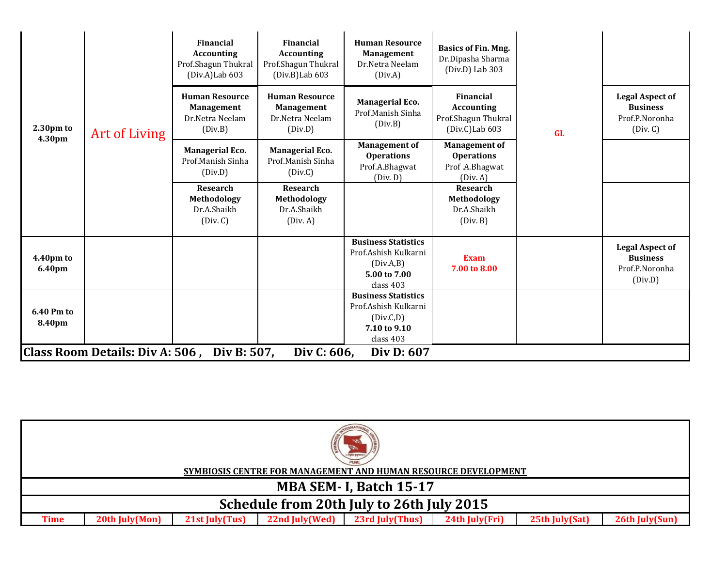| $2.30pm$ to<br>4.30pm                                                    | <b>Art of Living</b> | Financial<br><b>Accounting</b><br>Prof.Shagun Thukral<br>(Div.A)Lab 603  | <b>Financial</b><br><b>Accounting</b><br>Prof.Shagun Thukral<br>$(Div.B)$ Lab 603 | <b>Human Resource</b><br><b>Management</b><br>Dr.Netra Neelam<br>(Div.A)                     | <b>Basics of Fin. Mng.</b><br>Dr.Dipasha Sharma<br>$(Div.D)$ Lab 303    | <b>GL</b> |                                                                         |
|--------------------------------------------------------------------------|----------------------|--------------------------------------------------------------------------|-----------------------------------------------------------------------------------|----------------------------------------------------------------------------------------------|-------------------------------------------------------------------------|-----------|-------------------------------------------------------------------------|
|                                                                          |                      | <b>Human Resource</b><br><b>Management</b><br>Dr.Netra Neelam<br>(Div.B) | <b>Human Resource</b><br><b>Management</b><br>Dr.Netra Neelam<br>(Div.D)          | <b>Managerial Eco.</b><br>Prof.Manish Sinha<br>(Div.B)                                       | Financial<br><b>Accounting</b><br>Prof.Shagun Thukral<br>(Div.C)Lab 603 |           | <b>Legal Aspect of</b><br><b>Business</b><br>Prof.P.Noronha<br>(Div. C) |
|                                                                          |                      | <b>Managerial Eco.</b><br>Prof.Manish Sinha<br>(Div.D)                   | <b>Managerial Eco.</b><br>Prof.Manish Sinha<br>(Div.C)                            | <b>Management of</b><br><b>Operations</b><br>Prof.A.Bhagwat<br>(Div. D)                      | <b>Management of</b><br><b>Operations</b><br>Prof.A.Bhagwat<br>(Div. A) |           |                                                                         |
|                                                                          |                      | Research<br>Methodology<br>Dr.A.Shaikh<br>(Div. C)                       | Research<br>Methodology<br>Dr.A.Shaikh<br>(Div. A)                                |                                                                                              | Research<br>Methodology<br>Dr.A.Shaikh<br>(Div. B)                      |           |                                                                         |
| 4.40pm to<br>6.40pm                                                      |                      |                                                                          |                                                                                   | <b>Business Statistics</b><br>Prof.Ashish Kulkarni<br>(Div.A.B)<br>5.00 to 7.00<br>class 403 | <b>Exam</b><br>7.00 to 8.00                                             |           | <b>Legal Aspect of</b><br><b>Business</b><br>Prof.P.Noronha<br>(Div.D)  |
| 6.40 Pm to<br>8.40pm                                                     |                      |                                                                          |                                                                                   | <b>Business Statistics</b><br>Prof.Ashish Kulkarni<br>(Div.C,D)<br>7.10 to 9.10<br>class 403 |                                                                         |           |                                                                         |
| Class Room Details: Div A: 506, Div B: 507,<br>Div C: 606,<br>Div D: 607 |                      |                                                                          |                                                                                   |                                                                                              |                                                                         |           |                                                                         |

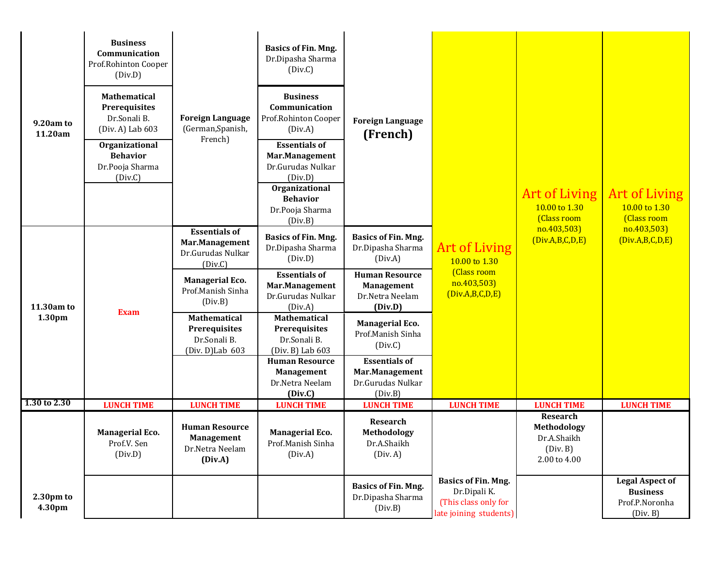| 9.20am to<br>11.20am | <b>Business</b><br>Communication<br>Prof.Rohinton Cooper<br>(Div.D)<br>Mathematical<br>Prerequisites<br>Dr.Sonali B.<br>(Div. A) Lab 603<br>Organizational<br><b>Behavior</b><br>Dr.Pooja Sharma<br>(Div.C) | <b>Foreign Language</b><br>(German, Spanish,<br>French)                    | <b>Basics of Fin. Mng.</b><br>Dr.Dipasha Sharma<br>(Div.C)<br><b>Business</b><br>Communication<br>Prof.Rohinton Cooper<br>(Div.A)<br><b>Essentials of</b><br>Mar.Management<br>Dr.Gurudas Nulkar<br>(Div.D)<br>Organizational<br><b>Behavior</b><br>Dr.Pooja Sharma<br>(Div.B) | <b>Foreign Language</b><br>(French)                                                 |                                                                                              | Art of Living<br>10.00 to 1.30<br>(Class room                      | <b>Art of Living</b><br>10.00 to 1.30<br>(Class room                    |
|----------------------|-------------------------------------------------------------------------------------------------------------------------------------------------------------------------------------------------------------|----------------------------------------------------------------------------|--------------------------------------------------------------------------------------------------------------------------------------------------------------------------------------------------------------------------------------------------------------------------------|-------------------------------------------------------------------------------------|----------------------------------------------------------------------------------------------|--------------------------------------------------------------------|-------------------------------------------------------------------------|
|                      |                                                                                                                                                                                                             | <b>Essentials of</b><br>Mar.Management<br>Dr.Gurudas Nulkar<br>(Div.C)     | <b>Basics of Fin. Mng.</b><br>Dr.Dipasha Sharma<br>(Div.D)<br><b>Essentials of</b>                                                                                                                                                                                             | <b>Basics of Fin. Mng.</b><br>Dr.Dipasha Sharma<br>(Div.A)<br><b>Human Resource</b> | <b>Art of Living</b><br>10.00 to 1.30<br>(Class room                                         | no.403,503)<br>(Div.A,B,C,D,E)                                     | no.403,503)<br>(Div.A,B,C,D,E)                                          |
| 11.30am to<br>1.30pm | <b>Exam</b>                                                                                                                                                                                                 | <b>Managerial Eco.</b><br>Prof.Manish Sinha<br>(Div.B)                     | Mar.Management<br>Dr.Gurudas Nulkar<br>(Div.A)                                                                                                                                                                                                                                 | <b>Management</b><br>Dr.Netra Neelam<br>(Div.D)                                     | no.403,503)<br>(Div.A,B,C,D,E)                                                               |                                                                    |                                                                         |
|                      |                                                                                                                                                                                                             | <b>Mathematical</b><br>Prerequisites<br>Dr.Sonali B.<br>$(Div. D)$ Lab 603 | Mathematical<br>Prerequisites<br>Dr.Sonali B.<br>(Div. B) Lab 603                                                                                                                                                                                                              | <b>Managerial Eco.</b><br>Prof.Manish Sinha<br>(Div.C)                              |                                                                                              |                                                                    |                                                                         |
|                      |                                                                                                                                                                                                             |                                                                            | <b>Human Resource</b><br><b>Management</b><br>Dr.Netra Neelam<br>(Div.C)                                                                                                                                                                                                       | <b>Essentials of</b><br>Mar.Management<br>Dr.Gurudas Nulkar<br>(Div.B)              |                                                                                              |                                                                    |                                                                         |
| 1.30 to 2.30         | <b>LUNCH TIME</b>                                                                                                                                                                                           | <b>LUNCH TIME</b>                                                          | <b>LUNCH TIME</b>                                                                                                                                                                                                                                                              | <b>LUNCH TIME</b>                                                                   | <b>LUNCH TIME</b>                                                                            | <b>LUNCH TIME</b>                                                  | <b>LUNCH TIME</b>                                                       |
|                      | <b>Managerial Eco.</b><br>Prof.V. Sen<br>(Div.D)                                                                                                                                                            | <b>Human Resource</b><br><b>Management</b><br>Dr.Netra Neelam<br>(Div.A)   | <b>Managerial Eco.</b><br>Prof.Manish Sinha<br>(Div.A)                                                                                                                                                                                                                         | Research<br>Methodology<br>Dr.A.Shaikh<br>(Div. A)                                  |                                                                                              | Research<br>Methodology<br>Dr.A.Shaikh<br>(Div. B)<br>2.00 to 4.00 |                                                                         |
| 2.30pm to<br>4.30pm  |                                                                                                                                                                                                             |                                                                            |                                                                                                                                                                                                                                                                                | <b>Basics of Fin. Mng.</b><br>Dr.Dipasha Sharma<br>(Div.B)                          | <b>Basics of Fin. Mng.</b><br>Dr.Dipali K.<br>(This class only for<br>late joining students) |                                                                    | <b>Legal Aspect of</b><br><b>Business</b><br>Prof.P.Noronha<br>(Div. B) |